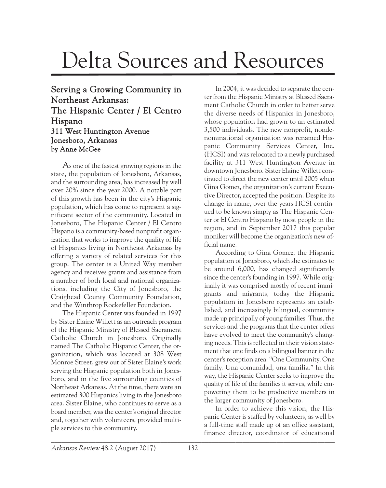## Delta Sources and Resources

## Serving a Growing Community in Northeast Arkansas: The Hispanic Center / El Centro Hispano 311 West Huntington Avenue Jonesboro, Arkansas by Anne McGee

As one of the fastest growing regions in the state, the population of Jonesboro, Arkansas, and the surrounding area, has increased by well over 20% since the year 2000. A notable part of this growth has been in the city's Hispanic population, which has come to represent a significant sector of the community. Located in Jonesboro, The Hispanic Center / El Centro Hispano is a community-based nonprofit organization that works to improve the quality of life of Hispanics living in Northeast Arkansas by offering a variety of related services for this group. The center is a United Way member agency and receives grants and assistance from a number of both local and national organizations, including the City of Jonesboro, the Craighead County Community Foundation, and the Winthrop Rockefeller Foundation.

The Hispanic Center was founded in 1997 by Sister Elaine Willett as an outreach program of the Hispanic Ministry of Blessed Sacrament Catholic Church in Jonesboro. Originally named The Catholic Hispanic Center, the organization, which was located at 308 West Monroe Street, grew out of Sister Elaine's work serving the Hispanic population both in Jonesboro, and in the five surrounding counties of Northeast Arkansas. At the time, there were an estimated 300 Hispanics living in the Jonesboro area. Sister Elaine, who continues to serve as a board member, was the center's original director and, together with volunteers, provided multiple services to this community.

In 2004, it was decided to separate the center from the Hispanic Ministry at Blessed Sacrament Catholic Church in order to better serve the diverse needs of Hispanics in Jonesboro, whose population had grown to an estimated 3,500 individuals. The new nonprofit, nondenominational organization was renamed Hispanic Community Services Center, Inc. (HCSI) and was relocated to a newly purchased facility at 311 West Huntington Avenue in downtown Jonesboro. Sister Elaine Willett continued to direct the new center until 2005 when Gina Gomez, the organization's current Executive Director, accepted the position. Despite its change in name, over the years HCSI continued to be known simply as The Hispanic Center or El Centro Hispano by most people in the region, and in September 2017 this popular moniker will become the organization's new official name.

According to Gina Gomez, the Hispanic population of Jonesboro, which she estimates to be around 6,000, has changed significantly since the center's founding in 1997. While originally it was comprised mostly of recent immigrants and migrants, today the Hispanic population in Jonesboro represents an established, and increasingly bilingual, community made up principally of young families. Thus, the services and the programs that the center offers have evolved to meet the community's changing needs. This is reflected in their vision statement that one finds on a bilingual banner in the center's reception area: "One Community, One family. Una comunidad, una familia." In this way, the Hispanic Center seeks to improve the quality of life of the families it serves, while empowering them to be productive members in the larger community of Jonesboro.

\_\_\_\_\_\_\_\_\_\_\_\_\_\_\_\_\_\_\_\_\_\_\_\_\_\_\_\_\_\_\_\_\_\_\_\_\_\_\_\_\_\_\_\_\_\_\_\_\_\_\_\_\_\_\_\_\_\_\_\_\_\_\_\_\_\_\_\_\_\_\_\_\_\_\_\_\_\_\_\_\_\_\_ In order to achieve this vision, the Hispanic Center is staffed by volunteers, as well by a full-time staff made up of an office assistant, finance director, coordinator of educational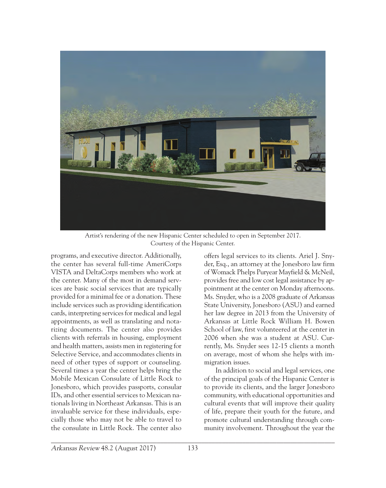

Artist's rendering of the new Hispanic Center scheduled to open in September 2017. Courtesy of the Hispanic Center.

programs, and executive director. Additionally, the center has several full-time AmeriCorps VISTA and DeltaCorps members who work at the center. Many of the most in demand services are basic social services that are typically provided for a minimal fee or a donation. These include services such as providing identification cards, interpreting services for medical and legal appointments, as well as translating and notarizing documents. The center also provides clients with referrals in housing, employment and health matters, assists men in registering for Selective Service, and accommodates clients in need of other types of support or counseling. Several times a year the center helps bring the Mobile Mexican Consulate of Little Rock to Jonesboro, which provides passports, consular IDs, and other essential services to Mexican nationals living in Northeast Arkansas. This is an invaluable service for these individuals, especially those who may not be able to travel to the consulate in Little Rock. The center also

offers legal services to its clients. Ariel J. Snyder, Esq., an attorney at the Jonesboro law firm of Womack Phelps Puryear Mayfield & McNeil, provides free and low cost legal assistance by appointment at the center on Monday afternoons. Ms. Snyder, who is a 2008 graduate of Arkansas State University, Jonesboro (ASU) and earned her law degree in 2013 from the University of Arkansas at Little Rock William H. Bowen School of law, first volunteered at the center in 2006 when she was a student at ASU. Currently, Ms. Snyder sees 12-15 clients a month on average, most of whom she helps with immigration issues.

In addition to social and legal services, one of the principal goals of the Hispanic Center is to provide its clients, and the larger Jonesboro community, with educational opportunities and cultural events that will improve their quality of life, prepare their youth for the future, and promote cultural understanding through community involvement. Throughout the year the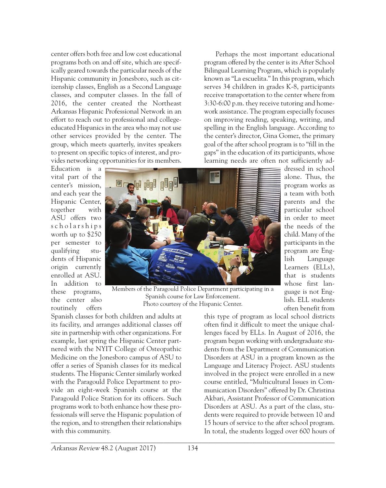center offers both free and low cost educational programs both on and off site, which are specifically geared towards the particular needs of the Hispanic community in Jonesboro, such as citizenship classes, English as a Second Language classes, and computer classes. In the fall of 2016, the center created the Northeast Arkansas Hispanic Professional Network in an effort to reach out to professional and collegeeducated Hispanics in the area who may not use other services provided by the center. The group, which meets quarterly, invites speakers to present on specific topics of interest, and provides networking opportunities for its members.

Perhaps the most important educational program offered by the center is its After School Bilingual Learning Program, which is popularly known as "La escuelita." In this program, which serves 34 children in grades K-8, participants receive transportation to the center where from 3:30-6:00 p.m. they receive tutoring and homework assistance. The program especially focuses on improving reading, speaking, writing, and spelling in the English language. According to the center's director, Gina Gomez, the primary goal of the after school program is to "fill in the gaps" in the education of its participants, whose learning needs are often not sufficiently ad-

Education is a vital part of the center's mission, and each year the Hispanic Center, together with ASU offers two s c h o l a r s h i p s worth up to \$250 per semester to qualifying students of Hispanic origin currently enrolled at ASU. In addition to these programs, the center also routinely offers



dressed in school alone. Thus, the program works as a team with both parents and the particular school in order to meet the needs of the child. Many of the participants in the program are English Language Learners (ELLs), that is students whose first language is not English. ELL students often benefit from

Members of the Paragould Police Department participating in a Spanish course for Law Enforcement. Photo courtesy of the Hispanic Center.

Spanish classes for both children and adults at its facility, and arranges additional classes off site in partnership with other organizations. For example, last spring the Hispanic Center partnered with the NYIT College of Osteopathic Medicine on the Jonesboro campus of ASU to offer a series of Spanish classes for its medical students. The Hispanic Center similarly worked with the Paragould Police Department to provide an eight-week Spanish course at the Paragould Police Station for its officers. Such programs work to both enhance how these professionals will serve the Hispanic population of the region, and to strengthen their relationships with this community.

this type of program as local school districts often find it difficult to meet the unique challenges faced by ELLs. In August of 2016, the program began working with undergraduate students from the Department of Communication Disorders at ASU in a program known as the Language and Literacy Project. ASU students involved in the project were enrolled in a new course entitled, "Multicultural Issues in Communication Disorders" offered by Dr. Christina Akbari, Assistant Professor of Communication Disorders at ASU. As a part of the class, students were required to provide between 10 and 15 hours of service to the after school program. In total, the students logged over 600 hours of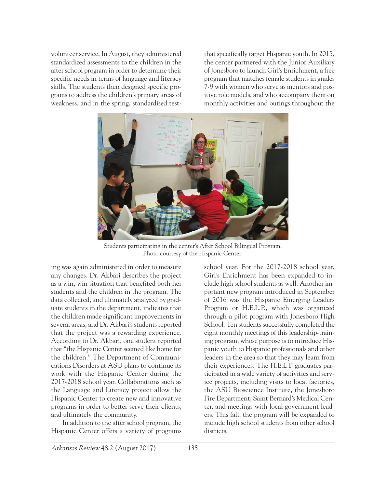volunteer service. In August, they administered standardized assessments to the children in the after school program in order to determine their specific needs in terms of language and literacy skills. The students then designed specific programs to address the children's primary areas of weakness, and in the spring, standardized testthat specifically target Hispanic youth. In 2015, the center partnered with the Junior Auxiliary of Jonesboro to launch Girl's Enrichment, a free program that matches female students in grades 7-9 with women who serve as mentors and positive role models, and who accompany them on monthly activities and outings throughout the



Students participating in the center's After School Bilingual Program. Photo courtesy of the Hispanic Center.

ing was again administered in order to measure any changes. Dr. Akbari describes the project as a win, win situation that benefited both her students and the children in the program. The data collected, and ultimately analyzed by graduate students in the department, indicates that the children made significant improvements in several areas, and Dr. Akbari's students reported that the project was a rewarding experience. According to Dr. Akbari, one student reported that "the Hispanic Center seemed like home for the children." The Department of Communications Disorders at ASU plans to continue its work with the Hispanic Center during the 2017-2018 school year. Collaborations such as the Language and Literacy project allow the Hispanic Center to create new and innovative programs in order to better serve their clients, and ultimately the community.

In addition to the after school program, the Hispanic Center offers a variety of programs school year. For the 2017-2018 school year, Girl's Enrichment has been expanded to include high school students as well. Another important new program introduced in September of 2016 was the Hispanic Emerging Leaders Program or H.E.L.P., which was organized through a pilot program with Jonesboro High School. Ten students successfully completed the eight monthly meetings of this leadership-training program, whose purpose is to introduce Hispanic youth to Hispanic professionals and other leaders in the area so that they may learn from their experiences. The H.E.L.P graduates participated in a wide variety of activities and service projects, including visits to local factories, the ASU Bioscience Institute, the Jonesboro Fire Department, Saint Bernard's Medical Center, and meetings with local government leaders. This fall, the program will be expanded to include high school students from other school districts.